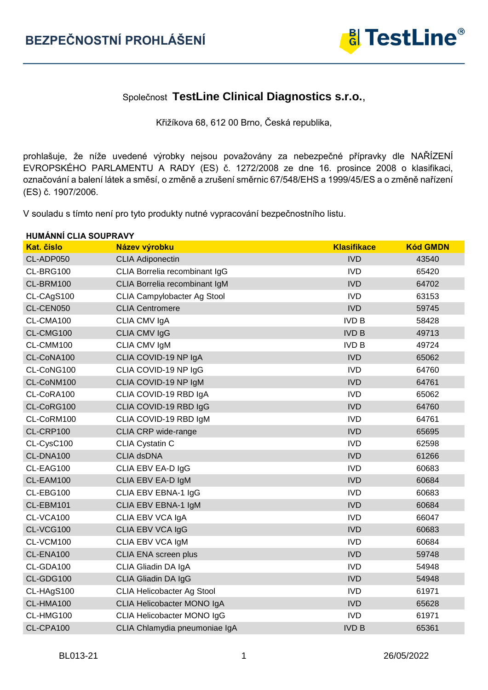$\mathbf{r}$ 



## Společnost **TestLine Clinical Diagnostics s.r.o.**,

Křižíkova 68, 612 00 Brno, Česká republika,

prohlašuje, že níže uvedené výrobky nejsou považovány za nebezpečné přípravky dle NAŘÍZENÍ EVROPSKÉHO PARLAMENTU A RADY (ES) č. 1272/2008 ze dne 16. prosince 2008 o klasifikaci, označování a balení látek a směsí, o změně a zrušení směrnic 67/548/EHS a 1999/45/ES a o změně nařízení (ES) č. 1907/2006.

V souladu s tímto není pro tyto produkty nutné vypracování bezpečnostního listu.

|            | <b>HUMANNI CLIA SOUPRAVY</b>      |                    |                 |  |  |
|------------|-----------------------------------|--------------------|-----------------|--|--|
| Kat. číslo | Název výrobku                     | <b>Klasifikace</b> | <b>Kód GMDN</b> |  |  |
| CL-ADP050  | <b>CLIA Adiponectin</b>           | <b>IVD</b>         | 43540           |  |  |
| CL-BRG100  | CLIA Borrelia recombinant IgG     | <b>IVD</b>         | 65420           |  |  |
| CL-BRM100  | CLIA Borrelia recombinant IgM     | <b>IVD</b>         | 64702           |  |  |
| CL-CAgS100 | CLIA Campylobacter Ag Stool       | <b>IVD</b>         | 63153           |  |  |
| CL-CEN050  | <b>CLIA Centromere</b>            | <b>IVD</b>         | 59745           |  |  |
| CL-CMA100  | CLIA CMV IgA                      | <b>IVD B</b>       | 58428           |  |  |
| CL-CMG100  | CLIA CMV IgG                      | <b>IVD B</b>       | 49713           |  |  |
| CL-CMM100  | CLIA CMV IgM                      | <b>IVD B</b>       | 49724           |  |  |
| CL-CoNA100 | CLIA COVID-19 NP IgA              | <b>IVD</b>         | 65062           |  |  |
| CL-CoNG100 | CLIA COVID-19 NP IgG              | <b>IVD</b>         | 64760           |  |  |
| CL-CoNM100 | CLIA COVID-19 NP IgM              | <b>IVD</b>         | 64761           |  |  |
| CL-CoRA100 | CLIA COVID-19 RBD IgA             | <b>IVD</b>         | 65062           |  |  |
| CL-CoRG100 | CLIA COVID-19 RBD IgG             | <b>IVD</b>         | 64760           |  |  |
| CL-CoRM100 | CLIA COVID-19 RBD IgM             | <b>IVD</b>         | 64761           |  |  |
| CL-CRP100  | CLIA CRP wide-range               | <b>IVD</b>         | 65695           |  |  |
| CL-CysC100 | <b>CLIA Cystatin C</b>            | <b>IVD</b>         | 62598           |  |  |
| CL-DNA100  | <b>CLIA dsDNA</b>                 | <b>IVD</b>         | 61266           |  |  |
| CL-EAG100  | CLIA EBV EA-D IgG                 | <b>IVD</b>         | 60683           |  |  |
| CL-EAM100  | CLIA EBV EA-D IgM                 | <b>IVD</b>         | 60684           |  |  |
| CL-EBG100  | CLIA EBV EBNA-1 IgG               | <b>IVD</b>         | 60683           |  |  |
| CL-EBM101  | CLIA EBV EBNA-1 IgM               | <b>IVD</b>         | 60684           |  |  |
| CL-VCA100  | CLIA EBV VCA IgA                  | <b>IVD</b>         | 66047           |  |  |
| CL-VCG100  | CLIA EBV VCA IgG                  | <b>IVD</b>         | 60683           |  |  |
| CL-VCM100  | CLIA EBV VCA IgM                  | <b>IVD</b>         | 60684           |  |  |
| CL-ENA100  | CLIA ENA screen plus              | <b>IVD</b>         | 59748           |  |  |
| CL-GDA100  | CLIA Gliadin DA IgA               | <b>IVD</b>         | 54948           |  |  |
| CL-GDG100  | CLIA Gliadin DA IgG               | <b>IVD</b>         | 54948           |  |  |
| CL-HAgS100 | <b>CLIA Helicobacter Ag Stool</b> | <b>IVD</b>         | 61971           |  |  |
| CL-HMA100  | CLIA Helicobacter MONO IgA        | <b>IVD</b>         | 65628           |  |  |
| CL-HMG100  | CLIA Helicobacter MONO IgG        | <b>IVD</b>         | 61971           |  |  |
| CL-CPA100  | CLIA Chlamydia pneumoniae IgA     | <b>IVD B</b>       | 65361           |  |  |
|            |                                   |                    |                 |  |  |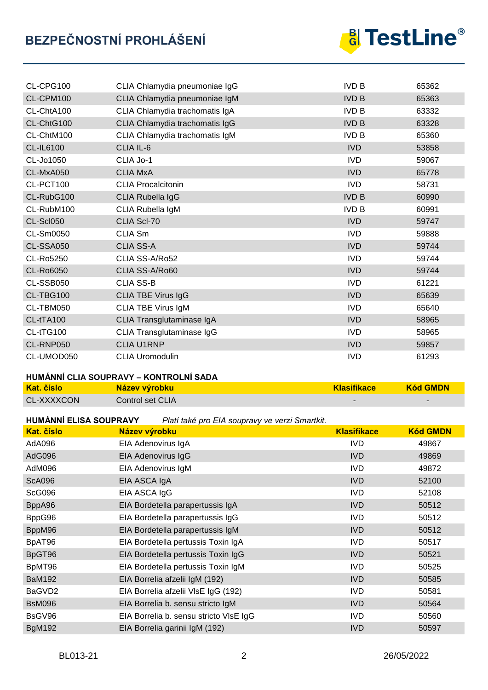

| CL-CPG100        | CLIA Chlamydia pneumoniae IgG  | <b>IVD B</b> | 65362 |
|------------------|--------------------------------|--------------|-------|
| CL-CPM100        | CLIA Chlamydia pneumoniae IgM  | <b>IVD B</b> | 65363 |
| CL-ChtA100       | CLIA Chlamydia trachomatis IgA | <b>IVD B</b> | 63332 |
| CL-ChtG100       | CLIA Chlamydia trachomatis IgG | <b>IVD B</b> | 63328 |
| CL-ChtM100       | CLIA Chlamydia trachomatis IgM | <b>IVD B</b> | 65360 |
| <b>CL-IL6100</b> | CLIA IL-6                      | <b>IVD</b>   | 53858 |
| CL-Jo1050        | CLIA Jo-1                      | <b>IVD</b>   | 59067 |
| CL-MxA050        | <b>CLIA MxA</b>                | <b>IVD</b>   | 65778 |
| CL-PCT100        | <b>CLIA Procalcitonin</b>      | <b>IVD</b>   | 58731 |
| CL-RubG100       | CLIA Rubella IgG               | <b>IVD B</b> | 60990 |
| CL-RubM100       | CLIA Rubella IgM               | <b>IVD B</b> | 60991 |
| CL-Scl050        | CLIA Scl-70                    | <b>IVD</b>   | 59747 |
| CL-Sm0050        | CLIA Sm                        | <b>IVD</b>   | 59888 |
| CL-SSA050        | <b>CLIA SS-A</b>               | <b>IVD</b>   | 59744 |
| CL-Ro5250        | CLIA SS-A/Ro52                 | <b>IVD</b>   | 59744 |
| CL-Ro6050        | CLIA SS-A/Ro60                 | <b>IVD</b>   | 59744 |
| CL-SSB050        | <b>CLIA SS-B</b>               | <b>IVD</b>   | 61221 |
| CL-TBG100        | <b>CLIA TBE Virus IgG</b>      | <b>IVD</b>   | 65639 |
| CL-TBM050        | CLIA TBE Virus IgM             | <b>IVD</b>   | 65640 |
| CL-tTA100        | CLIA Transglutaminase IgA      | <b>IVD</b>   | 58965 |
| CL-tTG100        | CLIA Transglutaminase IgG      | <b>IVD</b>   | 58965 |
| CL-RNP050        | <b>CLIA U1RNP</b>              | <b>IVD</b>   | 59857 |
| CL-UMOD050       | <b>CLIA Uromodulin</b>         | <b>IVD</b>   | 61293 |

#### **HUMÁNNÍ CLIA SOUPRAVY – KONTROLNÍ SADA**

| <b>Kat. číslo</b> | Název výrobku    | <b>Klasifikace</b>       | <b>Kód GMDN</b> |
|-------------------|------------------|--------------------------|-----------------|
| <b>CL-XXXXCON</b> | Control set CLIA | $\overline{\phantom{0}}$ |                 |

**HUMÁNNÍ ELISA SOUPRAVY** *Platí také pro EIA soupravy ve verzi Smartkit.*

| <b>Kat. číslo</b> | <b><i>Profit take pro Enviroppidity versition and that</i></b><br>Název výrobku | <b>Klasifikace</b> | <b>Kód GMDN</b> |
|-------------------|---------------------------------------------------------------------------------|--------------------|-----------------|
| AdA096            | EIA Adenovirus IgA                                                              | <b>IVD</b>         | 49867           |
| AdG096            | EIA Adenovirus IgG                                                              | IVD                | 49869           |
| AdM096            | EIA Adenovirus IgM                                                              | <b>IVD</b>         | 49872           |
| <b>ScA096</b>     | EIA ASCA IgA                                                                    | <b>IVD</b>         | 52100           |
| <b>ScG096</b>     | EIA ASCA IgG                                                                    | <b>IVD</b>         | 52108           |
| BppA96            | EIA Bordetella parapertussis IgA                                                | <b>IVD</b>         | 50512           |
| BppG96            | EIA Bordetella parapertussis IgG                                                | IVD.               | 50512           |
| BppM96            | EIA Bordetella parapertussis IgM                                                | IVD                | 50512           |
| BpAT96            | EIA Bordetella pertussis Toxin IgA                                              | IVD.               | 50517           |
| BpGT96            | EIA Bordetella pertussis Toxin IgG                                              | IVD                | 50521           |
| BpMT96            | EIA Bordetella pertussis Toxin IgM                                              | IVD.               | 50525           |
| <b>BaM192</b>     | EIA Borrelia afzelii IgM (192)                                                  | <b>IVD</b>         | 50585           |
| BaGVD2            | EIA Borrelia afzelii VIsE IgG (192)                                             | <b>IVD</b>         | 50581           |
| <b>BsM096</b>     | EIA Borrelia b. sensu stricto IgM                                               | IVD                | 50564           |
| BsGV96            | EIA Borrelia b. sensu stricto VIsE IgG                                          | IVD.               | 50560           |
| <b>BgM192</b>     | EIA Borrelia garinii IgM (192)                                                  | <b>IVD</b>         | 50597           |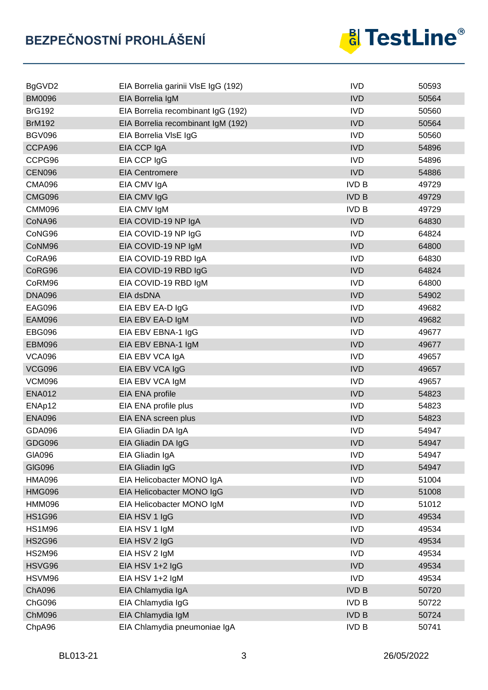

| BgGVD2        | EIA Borrelia garinii VIsE IgG (192) | <b>IVD</b>   | 50593 |
|---------------|-------------------------------------|--------------|-------|
| <b>BM0096</b> | EIA Borrelia IgM                    | <b>IVD</b>   | 50564 |
| <b>BrG192</b> | EIA Borrelia recombinant IgG (192)  | <b>IVD</b>   | 50560 |
| <b>BrM192</b> | EIA Borrelia recombinant IgM (192)  | <b>IVD</b>   | 50564 |
| <b>BGV096</b> | EIA Borrelia VIsE IgG               | <b>IVD</b>   | 50560 |
| CCPA96        | EIA CCP IgA                         | <b>IVD</b>   | 54896 |
| CCPG96        | EIA CCP IgG                         | <b>IVD</b>   | 54896 |
| <b>CEN096</b> | <b>EIA Centromere</b>               | <b>IVD</b>   | 54886 |
| <b>CMA096</b> | EIA CMV IgA                         | <b>IVD B</b> | 49729 |
| <b>CMG096</b> | EIA CMV IgG                         | <b>IVD B</b> | 49729 |
| <b>CMM096</b> | EIA CMV IgM                         | <b>IVD B</b> | 49729 |
| CoNA96        | EIA COVID-19 NP IgA                 | <b>IVD</b>   | 64830 |
| CoNG96        | EIA COVID-19 NP IgG                 | <b>IVD</b>   | 64824 |
| CoNM96        | EIA COVID-19 NP IgM                 | <b>IVD</b>   | 64800 |
| CoRA96        | EIA COVID-19 RBD IgA                | <b>IVD</b>   | 64830 |
| CoRG96        | EIA COVID-19 RBD IgG                | <b>IVD</b>   | 64824 |
| CoRM96        | EIA COVID-19 RBD IgM                | <b>IVD</b>   | 64800 |
| <b>DNA096</b> | EIA dsDNA                           | <b>IVD</b>   | 54902 |
| <b>EAG096</b> | EIA EBV EA-D IgG                    | <b>IVD</b>   | 49682 |
| <b>EAM096</b> | EIA EBV EA-D IgM                    | <b>IVD</b>   | 49682 |
| <b>EBG096</b> | EIA EBV EBNA-1 IgG                  | <b>IVD</b>   | 49677 |
| <b>EBM096</b> | EIA EBV EBNA-1 IgM                  | <b>IVD</b>   | 49677 |
| <b>VCA096</b> | EIA EBV VCA IgA                     | <b>IVD</b>   | 49657 |
| <b>VCG096</b> | EIA EBV VCA IgG                     | <b>IVD</b>   | 49657 |
| <b>VCM096</b> | EIA EBV VCA IgM                     | <b>IVD</b>   | 49657 |
| <b>ENA012</b> | EIA ENA profile                     | <b>IVD</b>   | 54823 |
| ENAp12        | EIA ENA profile plus                | <b>IVD</b>   | 54823 |
| <b>ENA096</b> | EIA ENA screen plus                 | <b>IVD</b>   | 54823 |
| GDA096        | EIA Gliadin DA IgA                  | <b>IVD</b>   | 54947 |
| <b>GDG096</b> | EIA Gliadin DA IgG                  | <b>IVD</b>   | 54947 |
| GIA096        | EIA Gliadin IgA                     | <b>IVD</b>   | 54947 |
| <b>GIG096</b> | EIA Gliadin IgG                     | <b>IVD</b>   | 54947 |
| <b>HMA096</b> | EIA Helicobacter MONO IgA           | <b>IVD</b>   | 51004 |
| <b>HMG096</b> | EIA Helicobacter MONO IgG           | <b>IVD</b>   | 51008 |
| <b>HMM096</b> | EIA Helicobacter MONO IgM           | <b>IVD</b>   | 51012 |
| <b>HS1G96</b> | EIA HSV 1 IgG                       | <b>IVD</b>   | 49534 |
| <b>HS1M96</b> | EIA HSV 1 IgM                       | <b>IVD</b>   | 49534 |
| <b>HS2G96</b> | EIA HSV 2 IgG                       | <b>IVD</b>   | 49534 |
| <b>HS2M96</b> | EIA HSV 2 IgM                       | <b>IVD</b>   | 49534 |
| HSVG96        | EIA HSV 1+2 IgG                     | <b>IVD</b>   | 49534 |
| HSVM96        | EIA HSV 1+2 IgM                     | <b>IVD</b>   | 49534 |
| <b>ChA096</b> | EIA Chlamydia IgA                   | <b>IVD B</b> | 50720 |
| ChG096        | EIA Chlamydia IgG                   | <b>IVD B</b> | 50722 |
| <b>ChM096</b> | EIA Chlamydia IgM                   | <b>IVD B</b> | 50724 |
| ChpA96        | EIA Chlamydia pneumoniae IgA        | <b>IVD B</b> | 50741 |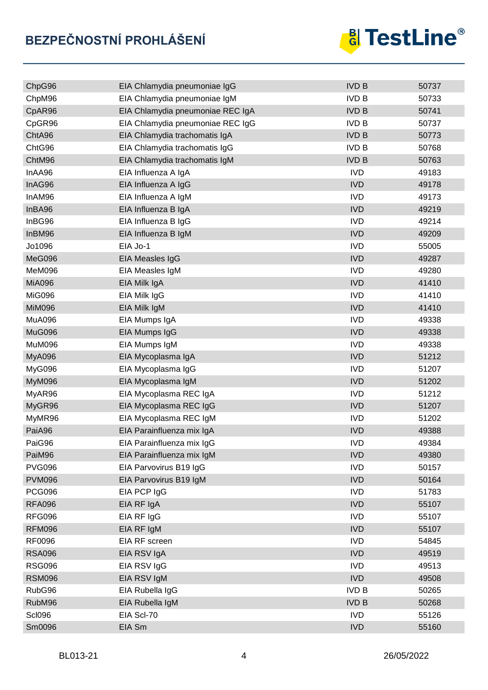

| ChpG96        | EIA Chlamydia pneumoniae IgG     | <b>IVD B</b> | 50737 |
|---------------|----------------------------------|--------------|-------|
| ChpM96        | EIA Chlamydia pneumoniae IgM     | <b>IVD B</b> | 50733 |
| CpAR96        | EIA Chlamydia pneumoniae REC IgA | <b>IVD B</b> | 50741 |
| CpGR96        | EIA Chlamydia pneumoniae REC IgG | <b>IVD B</b> | 50737 |
| ChtA96        | EIA Chlamydia trachomatis IgA    | <b>IVD B</b> | 50773 |
| ChtG96        | EIA Chlamydia trachomatis IgG    | <b>IVD B</b> | 50768 |
| ChtM96        | EIA Chlamydia trachomatis IgM    | <b>IVD B</b> | 50763 |
| InAA96        | EIA Influenza A IgA              | <b>IVD</b>   | 49183 |
| InAG96        | EIA Influenza A IgG              | <b>IVD</b>   | 49178 |
| InAM96        | EIA Influenza A IgM              | <b>IVD</b>   | 49173 |
| InBA96        | EIA Influenza B IgA              | <b>IVD</b>   | 49219 |
| InBG96        | EIA Influenza B IgG              | <b>IVD</b>   | 49214 |
| InBM96        | EIA Influenza B IgM              | <b>IVD</b>   | 49209 |
| Jo1096        | EIA Jo-1                         | <b>IVD</b>   | 55005 |
| MeG096        | EIA Measles IgG                  | <b>IVD</b>   | 49287 |
| MeM096        | EIA Measles IgM                  | <b>IVD</b>   | 49280 |
| <b>MiA096</b> | EIA Milk IgA                     | <b>IVD</b>   | 41410 |
| <b>MiG096</b> | EIA Milk IgG                     | <b>IVD</b>   | 41410 |
| <b>MiM096</b> | EIA Milk IgM                     | <b>IVD</b>   | 41410 |
| MuA096        | EIA Mumps IgA                    | <b>IVD</b>   | 49338 |
| MuG096        | EIA Mumps IgG                    | <b>IVD</b>   | 49338 |
| <b>MuM096</b> | EIA Mumps IgM                    | <b>IVD</b>   | 49338 |
| <b>MyA096</b> | EIA Mycoplasma IgA               | <b>IVD</b>   | 51212 |
| MyG096        | EIA Mycoplasma IgG               | <b>IVD</b>   | 51207 |
| <b>MyM096</b> | EIA Mycoplasma IgM               | <b>IVD</b>   | 51202 |
| MyAR96        | EIA Mycoplasma REC IgA           | <b>IVD</b>   | 51212 |
| MyGR96        | EIA Mycoplasma REC IgG           | <b>IVD</b>   | 51207 |
| MyMR96        | EIA Mycoplasma REC IgM           | <b>IVD</b>   | 51202 |
| PaiA96        | EIA Parainfluenza mix IgA        | <b>IVD</b>   | 49388 |
| PaiG96        | EIA Parainfluenza mix IgG        | IVD          | 49384 |
| PaiM96        | EIA Parainfluenza mix IgM        | <b>IVD</b>   | 49380 |
| <b>PVG096</b> | EIA Parvovirus B19 IgG           | <b>IVD</b>   | 50157 |
| <b>PVM096</b> | EIA Parvovirus B19 IgM           | <b>IVD</b>   | 50164 |
| <b>PCG096</b> | EIA PCP IgG                      | <b>IVD</b>   | 51783 |
| <b>RFA096</b> | EIA RF IgA                       | <b>IVD</b>   | 55107 |
| <b>RFG096</b> | EIA RF IgG                       | <b>IVD</b>   | 55107 |
| <b>RFM096</b> | EIA RF IgM                       | <b>IVD</b>   | 55107 |
| RF0096        | EIA RF screen                    | <b>IVD</b>   | 54845 |
| <b>RSA096</b> | EIA RSV IgA                      | <b>IVD</b>   | 49519 |
| <b>RSG096</b> | EIA RSV IgG                      | <b>IVD</b>   | 49513 |
| <b>RSM096</b> | EIA RSV IgM                      | <b>IVD</b>   | 49508 |
| RubG96        | EIA Rubella IgG                  | <b>IVD B</b> | 50265 |
| RubM96        | EIA Rubella IgM                  | <b>IVD B</b> | 50268 |
| <b>Scl096</b> | EIA Scl-70                       | <b>IVD</b>   | 55126 |
| Sm0096        | EIA Sm                           | <b>IVD</b>   | 55160 |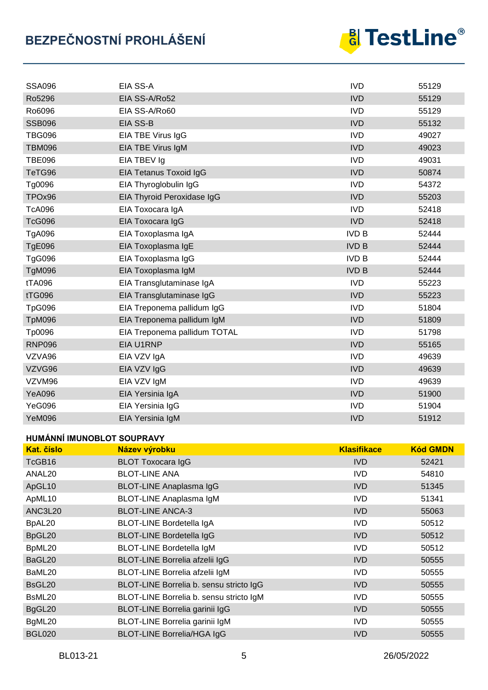# **BEZPEČNOSTNÍ PROHLÁŠENÍ**



| <b>SSA096</b> | EIA SS-A                     | <b>IVD</b>   | 55129 |
|---------------|------------------------------|--------------|-------|
| Ro5296        | EIA SS-A/Ro52                | <b>IVD</b>   | 55129 |
| Ro6096        | EIA SS-A/Ro60                | <b>IVD</b>   | 55129 |
| <b>SSB096</b> | EIA SS-B                     | <b>IVD</b>   | 55132 |
| <b>TBG096</b> | EIA TBE Virus IgG            | <b>IVD</b>   | 49027 |
| <b>TBM096</b> | EIA TBE Virus IgM            | <b>IVD</b>   | 49023 |
| <b>TBE096</b> | EIA TBEV Ig                  | <b>IVD</b>   | 49031 |
| TeTG96        | EIA Tetanus Toxoid IgG       | <b>IVD</b>   | 50874 |
| Tg0096        | EIA Thyroglobulin IgG        | <b>IVD</b>   | 54372 |
| TPOx96        | EIA Thyroid Peroxidase IgG   | <b>IVD</b>   | 55203 |
| <b>TcA096</b> | EIA Toxocara IgA             | <b>IVD</b>   | 52418 |
| <b>TcG096</b> | EIA Toxocara IgG             | <b>IVD</b>   | 52418 |
| TgA096        | EIA Toxoplasma IgA           | <b>IVD B</b> | 52444 |
| <b>TgE096</b> | EIA Toxoplasma IgE           | <b>IVD B</b> | 52444 |
| <b>TgG096</b> | EIA Toxoplasma IgG           | <b>IVD B</b> | 52444 |
| <b>TgM096</b> | EIA Toxoplasma IgM           | <b>IVD B</b> | 52444 |
| tTA096        | EIA Transglutaminase IgA     | <b>IVD</b>   | 55223 |
| tTG096        | EIA Transglutaminase IgG     | <b>IVD</b>   | 55223 |
| TpG096        | EIA Treponema pallidum IgG   | <b>IVD</b>   | 51804 |
| TpM096        | EIA Treponema pallidum IgM   | <b>IVD</b>   | 51809 |
| Tp0096        | EIA Treponema pallidum TOTAL | <b>IVD</b>   | 51798 |
| <b>RNP096</b> | EIA U1RNP                    | <b>IVD</b>   | 55165 |
| VZVA96        | EIA VZV IgA                  | <b>IVD</b>   | 49639 |
| VZVG96        | EIA VZV IgG                  | <b>IVD</b>   | 49639 |
| VZVM96        | EIA VZV IgM                  | <b>IVD</b>   | 49639 |
| YeA096        | EIA Yersinia IgA             | <b>IVD</b>   | 51900 |
| YeG096        | EIA Yersinia IgG             | <b>IVD</b>   | 51904 |
| YeM096        | EIA Yersinia IgM             | <b>IVD</b>   | 51912 |

#### **HUMÁNNÍ IMUNOBLOT SOUPRAVY**

| <b>Kat. číslo</b>  | Název výrobku                           | <b>Klasifikace</b> | <b>Kód GMDN</b> |
|--------------------|-----------------------------------------|--------------------|-----------------|
| TcGB16             | <b>BLOT Toxocara IgG</b>                | <b>IVD</b>         | 52421           |
| ANAL <sub>20</sub> | <b>BLOT-LINE ANA</b>                    | <b>IVD</b>         | 54810           |
| ApGL10             | <b>BLOT-LINE Anaplasma IgG</b>          | <b>IVD</b>         | 51345           |
| ApML10             | BLOT-LINE Anaplasma IgM                 | <b>IVD</b>         | 51341           |
| <b>ANC3L20</b>     | <b>BLOT-LINE ANCA-3</b>                 | <b>IVD</b>         | 55063           |
| BpAL20             | <b>BLOT-LINE Bordetella IgA</b>         | <b>IVD</b>         | 50512           |
| BpGL20             | <b>BLOT-LINE Bordetella IgG</b>         | <b>IVD</b>         | 50512           |
| BpML20             | <b>BLOT-LINE Bordetella IgM</b>         | <b>IVD</b>         | 50512           |
| BaGL20             | BLOT-LINE Borrelia afzelii IgG          | <b>IVD</b>         | 50555           |
| BaML20             | BLOT-LINE Borrelia afzelii IgM          | <b>IVD</b>         | 50555           |
| BsGL20             | BLOT-LINE Borrelia b. sensu stricto IgG | <b>IVD</b>         | 50555           |
| BsML20             | BLOT-LINE Borrelia b. sensu stricto IgM | <b>IVD</b>         | 50555           |
| BgGL20             | BLOT-LINE Borrelia garinii IgG          | <b>IVD</b>         | 50555           |
| BgML20             | BLOT-LINE Borrelia garinii IgM          | <b>IVD</b>         | 50555           |
| <b>BGL020</b>      | <b>BLOT-LINE Borrelia/HGA IgG</b>       | <b>IVD</b>         | 50555           |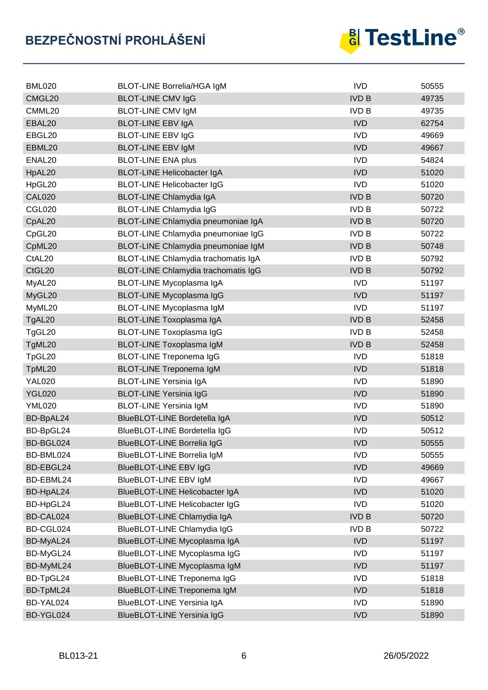

| <b>BML020</b>      | <b>BLOT-LINE Borrelia/HGA IgM</b>   | <b>IVD</b>   | 50555 |
|--------------------|-------------------------------------|--------------|-------|
| CMGL20             | <b>BLOT-LINE CMV IgG</b>            | <b>IVD B</b> | 49735 |
| CMML20             | <b>BLOT-LINE CMV IgM</b>            | <b>IVD B</b> | 49735 |
| EBAL20             | <b>BLOT-LINE EBV IgA</b>            | <b>IVD</b>   | 62754 |
| EBGL20             | <b>BLOT-LINE EBV IgG</b>            | <b>IVD</b>   | 49669 |
| EBML20             | <b>BLOT-LINE EBV IgM</b>            | <b>IVD</b>   | 49667 |
| ENAL <sub>20</sub> | <b>BLOT-LINE ENA plus</b>           | <b>IVD</b>   | 54824 |
| HpAL20             | <b>BLOT-LINE Helicobacter IgA</b>   | <b>IVD</b>   | 51020 |
| HpGL20             | <b>BLOT-LINE Helicobacter IgG</b>   | <b>IVD</b>   | 51020 |
| <b>CAL020</b>      | <b>BLOT-LINE Chlamydia IgA</b>      | <b>IVD B</b> | 50720 |
| <b>CGL020</b>      | <b>BLOT-LINE Chlamydia IgG</b>      | <b>IVD B</b> | 50722 |
| CpAL <sub>20</sub> | BLOT-LINE Chlamydia pneumoniae IgA  | <b>IVD B</b> | 50720 |
| CpGL20             | BLOT-LINE Chlamydia pneumoniae IgG  | <b>IVD B</b> | 50722 |
| CpML20             | BLOT-LINE Chlamydia pneumoniae IgM  | <b>IVD B</b> | 50748 |
| CtAL <sub>20</sub> | BLOT-LINE Chlamydia trachomatis IgA | <b>IVD B</b> | 50792 |
| CtGL20             | BLOT-LINE Chlamydia trachomatis IgG | <b>IVD B</b> | 50792 |
| MyAL20             | BLOT-LINE Mycoplasma IgA            | <b>IVD</b>   | 51197 |
| MyGL20             | <b>BLOT-LINE Mycoplasma IgG</b>     | <b>IVD</b>   | 51197 |
| MyML20             | BLOT-LINE Mycoplasma IgM            | <b>IVD</b>   | 51197 |
| TgAL20             | BLOT-LINE Toxoplasma IgA            | <b>IVD B</b> | 52458 |
| TgGL20             | <b>BLOT-LINE Toxoplasma IgG</b>     | <b>IVD B</b> | 52458 |
| TgML20             | <b>BLOT-LINE Toxoplasma IgM</b>     | <b>IVD B</b> | 52458 |
| TpGL20             | <b>BLOT-LINE Treponema IgG</b>      | <b>IVD</b>   | 51818 |
| TpML20             | <b>BLOT-LINE Treponema IgM</b>      | <b>IVD</b>   | 51818 |
| <b>YAL020</b>      | <b>BLOT-LINE Yersinia IgA</b>       | <b>IVD</b>   | 51890 |
| <b>YGL020</b>      | <b>BLOT-LINE Yersinia IgG</b>       | <b>IVD</b>   | 51890 |
| <b>YML020</b>      | <b>BLOT-LINE Yersinia IgM</b>       | <b>IVD</b>   | 51890 |
| BD-BpAL24          | BlueBLOT-LINE Bordetella IgA        | <b>IVD</b>   | 50512 |
| BD-BpGL24          | <b>BlueBLOT-LINE Bordetella IgG</b> | <b>IVD</b>   | 50512 |
| BD-BGL024          | <b>BlueBLOT-LINE Borrelia IgG</b>   | <b>IVD</b>   | 50555 |
| BD-BML024          | <b>BlueBLOT-LINE Borrelia IgM</b>   | <b>IVD</b>   | 50555 |
| BD-EBGL24          | <b>BlueBLOT-LINE EBV IgG</b>        | <b>IVD</b>   | 49669 |
| BD-EBML24          | BlueBLOT-LINE EBV IgM               | <b>IVD</b>   | 49667 |
| BD-HpAL24          | BlueBLOT-LINE Helicobacter IgA      | <b>IVD</b>   | 51020 |
| BD-HpGL24          | BlueBLOT-LINE Helicobacter IgG      | <b>IVD</b>   | 51020 |
| BD-CAL024          | BlueBLOT-LINE Chlamydia IgA         | <b>IVD B</b> | 50720 |
| BD-CGL024          | BlueBLOT-LINE Chlamydia IgG         | <b>IVD B</b> | 50722 |
| BD-MyAL24          | BlueBLOT-LINE Mycoplasma IgA        | <b>IVD</b>   | 51197 |
| BD-MyGL24          | BlueBLOT-LINE Mycoplasma IgG        | <b>IVD</b>   | 51197 |
| BD-MyML24          | BlueBLOT-LINE Mycoplasma IgM        | <b>IVD</b>   | 51197 |
| BD-TpGL24          | BlueBLOT-LINE Treponema IgG         | <b>IVD</b>   | 51818 |
| BD-TpML24          | BlueBLOT-LINE Treponema IgM         | <b>IVD</b>   | 51818 |
| BD-YAL024          | <b>BlueBLOT-LINE Yersinia IgA</b>   | <b>IVD</b>   | 51890 |
| BD-YGL024          | <b>BlueBLOT-LINE Yersinia IgG</b>   | <b>IVD</b>   | 51890 |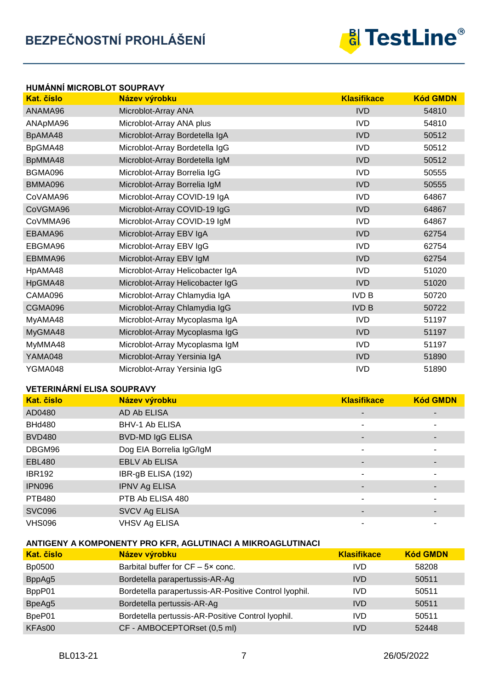

### **HUMÁNNÍ MICROBLOT SOUPRAVY Kat. číslo Název výrobku Klasifikace Kód GMDN** ANAMA96 Microblot-Array ANA IVD 54810 ANApMA96 Microblot-Array ANA plus IVD IVD 54810 BpAMA48 Microblot-Array Bordetella IgA IVE IVD 50512 BpGMA48 Microblot-Array Bordetella IgG<br>
S0512 BpMMA48 Microblot-Array Bordetella IgM **IVD** 50512 BGMA096 Microblot-Array Borrelia IgG **IVD** IVD 50555 BMMA096 Microblot-Array Borrelia IgM IVD 50555 CoVAMA96 Microblot-Array COVID-19 IgA IVD IVD 64867 CoVGMA96 Microblot-Array COVID-19 IgG IVE IVD IVD 64867 CoVMMA96 Microblot-Array COVID-19 IgM IVD 64867 EBAMA96 Microblot-Array EBV IgA IVD NO 100 62754 EBGMA96 Microblot-Array EBV IgG **IVD** 62754 EBMMA96 Microblot-Array EBV IgM **IVD** 62754 HpAMA48 Microblot-Array Helicobacter IgA IVD IVD 51020 HpGMA48 Microblot-Array Helicobacter IgG IVD IVD 51020 CAMA096 Microblot-Array Chlamydia IgA IVD B 50720 CGMA096 Microblot-Array Chlamydia IgG IVD B 50722 MyAMA48 Microblot-Array Mycoplasma IgA **IVD** IVD 51197 MyGMA48 Microblot-Array Mycoplasma IgG **IVD** IVD 51197 MyMMA48 Microblot-Array Mycoplasma IgM **IVD** IVD 51197 YAMA048 Microblot-Array Yersinia IgA IV CONTROLLY NO BEEN IVD 51890 YGMA048 Microblot-Array Yersinia IgG **IVD** IVD 51890

#### **VETERINÁRNÍ ELISA SOUPRAVY**

| Kat. číslo    | Název výrobku            | <b>Klasifikace</b>       | <b>Kód GMDN</b> |
|---------------|--------------------------|--------------------------|-----------------|
| AD0480        | AD Ab ELISA              | $\overline{\phantom{a}}$ |                 |
| <b>BHd480</b> | BHV-1 Ab ELISA           |                          |                 |
| <b>BVD480</b> | <b>BVD-MD IgG ELISA</b>  |                          |                 |
| DBGM96        | Dog EIA Borrelia IgG/IgM |                          | ۰               |
| <b>EBL480</b> | <b>EBLV Ab ELISA</b>     |                          |                 |
| <b>IBR192</b> | IBR-gB ELISA (192)       |                          |                 |
| <b>IPN096</b> | <b>IPNV Ag ELISA</b>     |                          |                 |
| <b>PTB480</b> | PTB Ab ELISA 480         |                          |                 |
| <b>SVC096</b> | SVCV Ag ELISA            | $\overline{\phantom{a}}$ | ٠               |
| <b>VHS096</b> | <b>VHSV Ag ELISA</b>     |                          |                 |

#### **ANTIGENY A KOMPONENTY PRO KFR, AGLUTINACI A MIKROAGLUTINACI**

| <b>Kat.</b> číslo  | Název výrobku                                         | <b>Klasifikace</b> | <b>Kód GMDN</b> |
|--------------------|-------------------------------------------------------|--------------------|-----------------|
| Bp0500             | Barbital buffer for $CF - 5 \times$ conc.             | IVD                | 58208           |
| BppAg5             | Bordetella parapertussis-AR-Ag                        | <b>IVD</b>         | 50511           |
| BppP01             | Bordetella parapertussis-AR-Positive Control Iyophil. | IVD                | 50511           |
| BpeAg5             | Bordetella pertussis-AR-Ag                            | <b>IVD</b>         | 50511           |
| BpeP01             | Bordetella pertussis-AR-Positive Control lyophil.     | IVD                | 50511           |
| KFA <sub>s00</sub> | CF - AMBOCEPTORset (0,5 ml)                           | <b>IVD</b>         | 52448           |